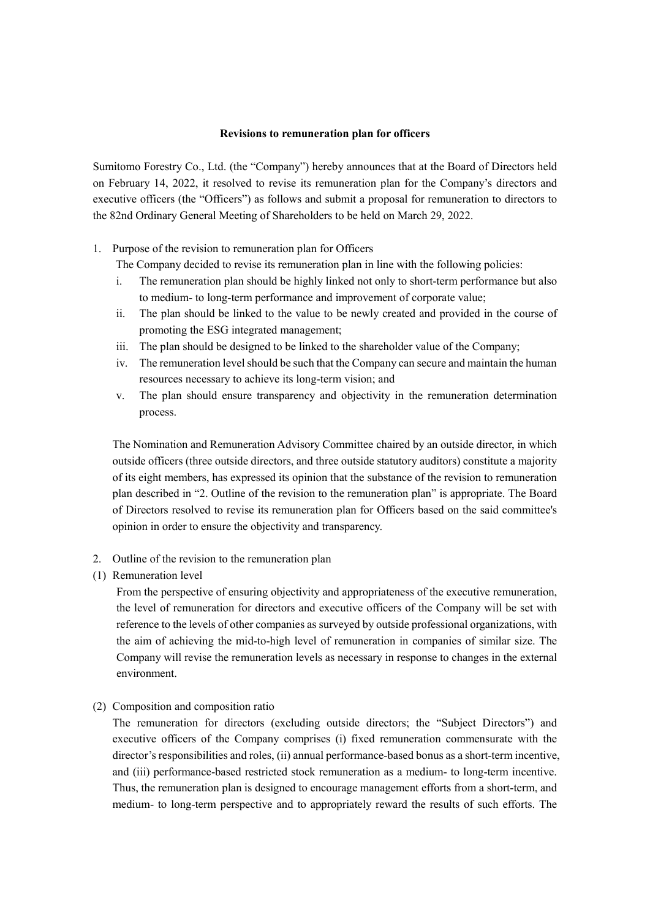## **Revisions to remuneration plan for officers**

Sumitomo Forestry Co., Ltd. (the "Company") hereby announces that at the Board of Directors held on February 14, 2022, it resolved to revise its remuneration plan for the Company's directors and executive officers (the "Officers") as follows and submit a proposal for remuneration to directors to the 82nd Ordinary General Meeting of Shareholders to be held on March 29, 2022.

- 1. Purpose of the revision to remuneration plan for Officers
	- The Company decided to revise its remuneration plan in line with the following policies:
	- i. The remuneration plan should be highly linked not only to short-term performance but also to medium- to long-term performance and improvement of corporate value;
	- ii. The plan should be linked to the value to be newly created and provided in the course of promoting the ESG integrated management;
	- iii. The plan should be designed to be linked to the shareholder value of the Company;
	- iv. The remuneration level should be such that the Company can secure and maintain the human resources necessary to achieve its long-term vision; and
	- v. The plan should ensure transparency and objectivity in the remuneration determination process.

The Nomination and Remuneration Advisory Committee chaired by an outside director, in which outside officers (three outside directors, and three outside statutory auditors) constitute a majority of its eight members, has expressed its opinion that the substance of the revision to remuneration plan described in "2. Outline of the revision to the remuneration plan" is appropriate. The Board of Directors resolved to revise its remuneration plan for Officers based on the said committee's opinion in order to ensure the objectivity and transparency.

- 2. Outline of the revision to the remuneration plan
- (1) Remuneration level

From the perspective of ensuring objectivity and appropriateness of the executive remuneration, the level of remuneration for directors and executive officers of the Company will be set with reference to the levels of other companies as surveyed by outside professional organizations, with the aim of achieving the mid-to-high level of remuneration in companies of similar size. The Company will revise the remuneration levels as necessary in response to changes in the external environment.

(2) Composition and composition ratio

The remuneration for directors (excluding outside directors; the "Subject Directors") and executive officers of the Company comprises (i) fixed remuneration commensurate with the director's responsibilities and roles, (ii) annual performance-based bonus as a short-term incentive, and (iii) performance-based restricted stock remuneration as a medium- to long-term incentive. Thus, the remuneration plan is designed to encourage management efforts from a short-term, and medium- to long-term perspective and to appropriately reward the results of such efforts. The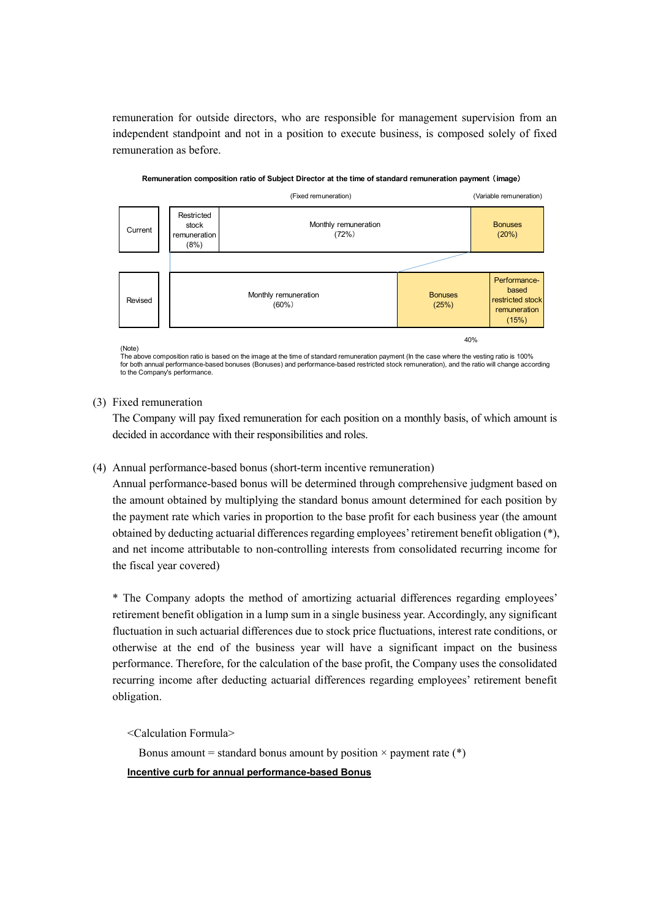remuneration for outside directors, who are responsible for management supervision from an independent standpoint and not in a position to execute business, is composed solely of fixed remuneration as before.



**Remuneration composition ratio of Subject Director at the time of standard remuneration payment** (**image**)

(Note) The above composition ratio is based on the image at the time of standard remuneration payment (In the case where the vesting ratio is 100% for both annual performance-based bonuses (Bonuses) and performance-based restricted stock remuneration), and the ratio will change according to the Company's performance.

## (3) Fixed remuneration

The Company will pay fixed remuneration for each position on a monthly basis, of which amount is decided in accordance with their responsibilities and roles.

## (4) Annual performance-based bonus (short-term incentive remuneration)

Annual performance-based bonus will be determined through comprehensive judgment based on the amount obtained by multiplying the standard bonus amount determined for each position by the payment rate which varies in proportion to the base profit for each business year (the amount obtained by deducting actuarial differences regarding employees'retirement benefit obligation (\*), and net income attributable to non-controlling interests from consolidated recurring income for the fiscal year covered)

\* The Company adopts the method of amortizing actuarial differences regarding employees' retirement benefit obligation in a lump sum in a single business year. Accordingly, any significant fluctuation in such actuarial differences due to stock price fluctuations, interest rate conditions, or otherwise at the end of the business year will have a significant impact on the business performance. Therefore, for the calculation of the base profit, the Company uses the consolidated recurring income after deducting actuarial differences regarding employees' retirement benefit obligation.

<Calculation Formula>

Bonus amount = standard bonus amount by position  $\times$  payment rate (\*) **Incentive curb for annual performance-based Bonus**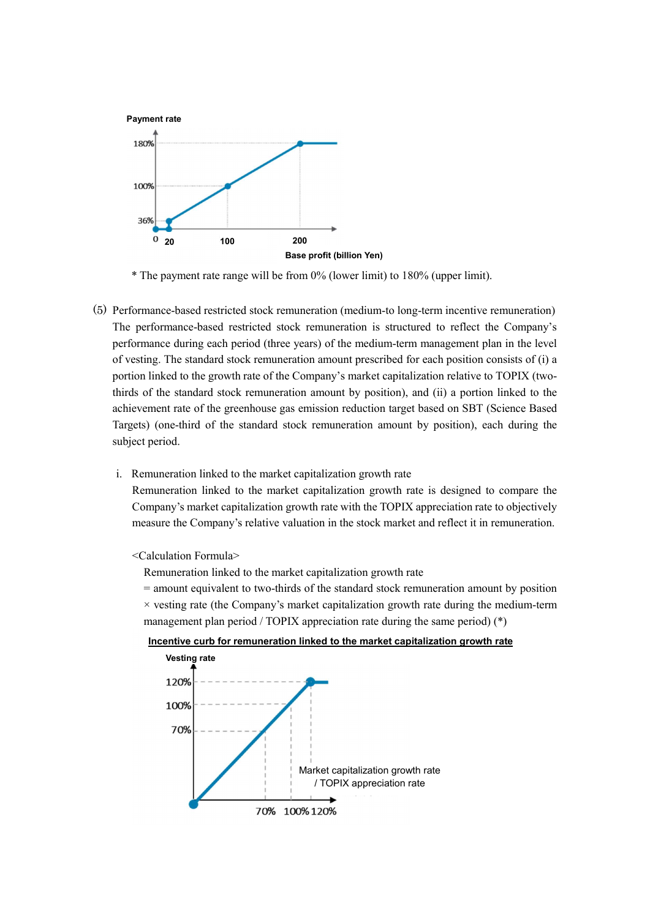

\* The payment rate range will be from 0% (lower limit) to 180% (upper limit).

- (5) Performance-based restricted stock remuneration (medium-to long-term incentive remuneration) The performance-based restricted stock remuneration is structured to reflect the Company's performance during each period (three years) of the medium-term management plan in the level of vesting. The standard stock remuneration amount prescribed for each position consists of (i) a portion linked to the growth rate of the Company's market capitalization relative to TOPIX (twothirds of the standard stock remuneration amount by position), and (ii) a portion linked to the achievement rate of the greenhouse gas emission reduction target based on SBT (Science Based Targets) (one-third of the standard stock remuneration amount by position), each during the subject period.
	- i. Remuneration linked to the market capitalization growth rate

Remuneration linked to the market capitalization growth rate is designed to compare the Company's market capitalization growth rate with the TOPIX appreciation rate to objectively measure the Company's relative valuation in the stock market and reflect it in remuneration.

<Calculation Formula>

Remuneration linked to the market capitalization growth rate

= amount equivalent to two-thirds of the standard stock remuneration amount by position  $\times$  vesting rate (the Company's market capitalization growth rate during the medium-term management plan period / TOPIX appreciation rate during the same period) (\*)



70% 100% 120%

**Incentive curb for remuneration linked to the market capitalization growth rate**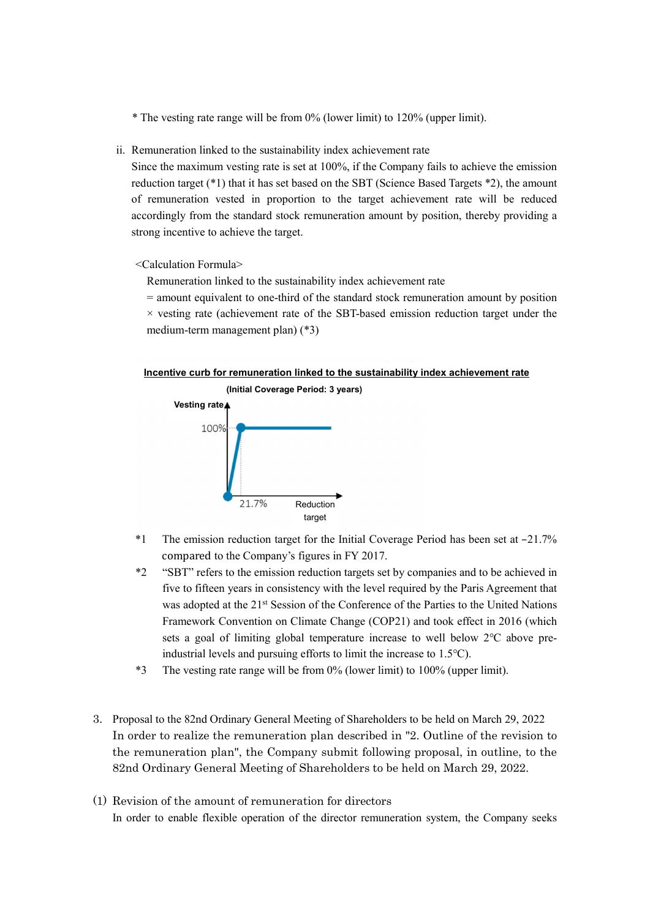\* The vesting rate range will be from 0% (lower limit) to 120% (upper limit).

ii. Remuneration linked to the sustainability index achievement rate

Since the maximum vesting rate is set at 100%, if the Company fails to achieve the emission reduction target (\*1) that it has set based on the SBT (Science Based Targets \*2), the amount of remuneration vested in proportion to the target achievement rate will be reduced accordingly from the standard stock remuneration amount by position, thereby providing a strong incentive to achieve the target.

<Calculation Formula>

Remuneration linked to the sustainability index achievement rate

= amount equivalent to one-third of the standard stock remuneration amount by position

 $\times$  vesting rate (achievement rate of the SBT-based emission reduction target under the medium-term management plan) (\*3)





- \*1 The emission reduction target for the Initial Coverage Period has been set at –21.7% compared to the Company's figures in FY 2017.
- \*2 "SBT" refers to the emission reduction targets set by companies and to be achieved in five to fifteen years in consistency with the level required by the Paris Agreement that was adopted at the 21<sup>st</sup> Session of the Conference of the Parties to the United Nations Framework Convention on Climate Change (COP21) and took effect in 2016 (which sets a goal of limiting global temperature increase to well below 2℃ above preindustrial levels and pursuing efforts to limit the increase to 1.5℃).
- \*3 The vesting rate range will be from 0% (lower limit) to 100% (upper limit).
- 3. Proposal to the 82nd Ordinary General Meeting of Shareholders to be held on March 29, 2022 In order to realize the remuneration plan described in "2. Outline of the revision to the remuneration plan", the Company submit following proposal, in outline, to the 82nd Ordinary General Meeting of Shareholders to be held on March 29, 2022.
- (1) Revision of the amount of remuneration for directors In order to enable flexible operation of the director remuneration system, the Company seeks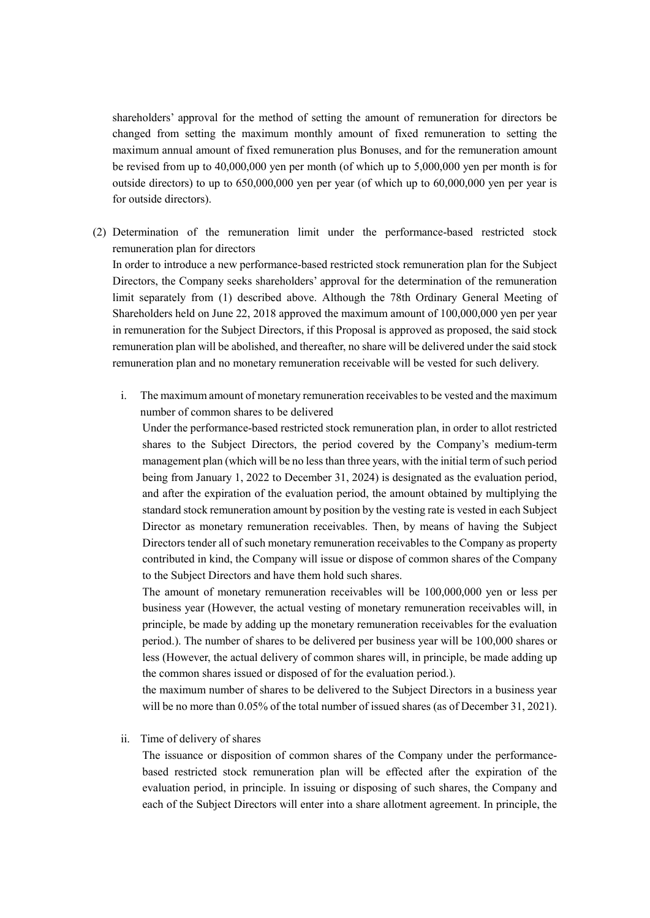shareholders' approval for the method of setting the amount of remuneration for directors be changed from setting the maximum monthly amount of fixed remuneration to setting the maximum annual amount of fixed remuneration plus Bonuses, and for the remuneration amount be revised from up to 40,000,000 yen per month (of which up to 5,000,000 yen per month is for outside directors) to up to 650,000,000 yen per year (of which up to 60,000,000 yen per year is for outside directors).

(2) Determination of the remuneration limit under the performance-based restricted stock remuneration plan for directors

In order to introduce a new performance-based restricted stock remuneration plan for the Subject Directors, the Company seeks shareholders' approval for the determination of the remuneration limit separately from (1) described above. Although the 78th Ordinary General Meeting of Shareholders held on June 22, 2018 approved the maximum amount of 100,000,000 yen per year in remuneration for the Subject Directors, if this Proposal is approved as proposed, the said stock remuneration plan will be abolished, and thereafter, no share will be delivered under the said stock remuneration plan and no monetary remuneration receivable will be vested for such delivery.

i. The maximum amount of monetary remuneration receivablesto be vested and the maximum number of common shares to be delivered

Under the performance-based restricted stock remuneration plan, in order to allot restricted shares to the Subject Directors, the period covered by the Company's medium-term management plan (which will be no less than three years, with the initial term of such period being from January 1, 2022 to December 31, 2024) is designated as the evaluation period, and after the expiration of the evaluation period, the amount obtained by multiplying the standard stock remuneration amount by position by the vesting rate is vested in each Subject Director as monetary remuneration receivables. Then, by means of having the Subject Directors tender all of such monetary remuneration receivables to the Company as property contributed in kind, the Company will issue or dispose of common shares of the Company to the Subject Directors and have them hold such shares.

The amount of monetary remuneration receivables will be 100,000,000 yen or less per business year (However, the actual vesting of monetary remuneration receivables will, in principle, be made by adding up the monetary remuneration receivables for the evaluation period.). The number of shares to be delivered per business year will be 100,000 shares or less (However, the actual delivery of common shares will, in principle, be made adding up the common shares issued or disposed of for the evaluation period.).

the maximum number of shares to be delivered to the Subject Directors in a business year will be no more than 0.05% of the total number of issued shares (as of December 31, 2021).

ii. Time of delivery of shares

The issuance or disposition of common shares of the Company under the performancebased restricted stock remuneration plan will be effected after the expiration of the evaluation period, in principle. In issuing or disposing of such shares, the Company and each of the Subject Directors will enter into a share allotment agreement. In principle, the